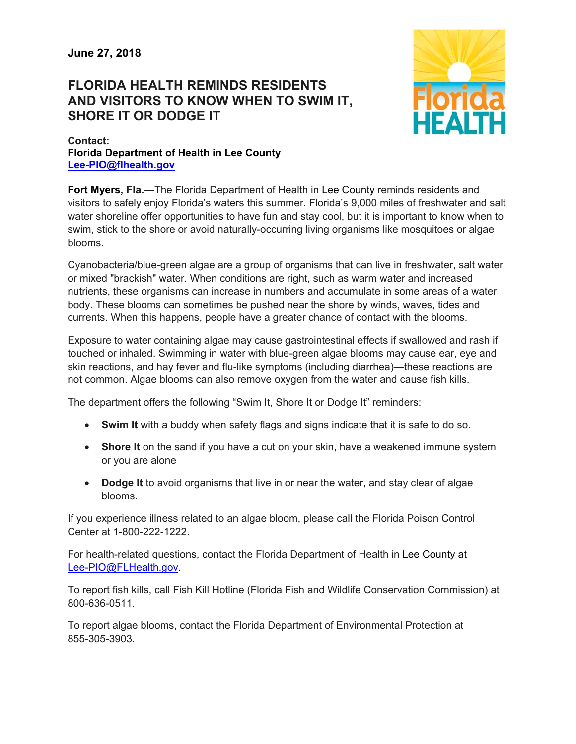## **FLORIDA HEALTH REMINDS RESIDENTS AND VISITORS TO KNOW WHEN TO SWIM IT, SHORE IT OR DODGE IT**



## **Contact: Florida Department of Health in Lee County Lee-PIO@flhealth.gov**

**Fort Myers, Fla.**—The Florida Department of Health in Lee County reminds residents and visitors to safely enjoy Florida's waters this summer. Florida's 9,000 miles of freshwater and salt water shoreline offer opportunities to have fun and stay cool, but it is important to know when to swim, stick to the shore or avoid naturally-occurring living organisms like mosquitoes or algae blooms.

Cyanobacteria/blue-green algae are a group of organisms that can live in freshwater, salt water or mixed "brackish" water. When conditions are right, such as warm water and increased nutrients, these organisms can increase in numbers and accumulate in some areas of a water body. These blooms can sometimes be pushed near the shore by winds, waves, tides and currents. When this happens, people have a greater chance of contact with the blooms.

Exposure to water containing algae may cause gastrointestinal effects if swallowed and rash if touched or inhaled. Swimming in water with blue-green algae blooms may cause ear, eye and skin reactions, and hay fever and flu-like symptoms (including diarrhea)—these reactions are not common. Algae blooms can also remove oxygen from the water and cause fish kills.

The department offers the following "Swim It, Shore It or Dodge It" reminders:

- **Swim It** with a buddy when safety flags and signs indicate that it is safe to do so.
- **Shore It** on the sand if you have a cut on your skin, have a weakened immune system or you are alone
- **Dodge It** to avoid organisms that live in or near the water, and stay clear of algae blooms.

If you experience illness related to an algae bloom, please call the Florida Poison Control Center at 1-800-222-1222.

For health-related questions, contact the Florida Department of Health in Lee County at Lee-PIO@FLHealth.gov.

To report fish kills, call Fish Kill Hotline (Florida Fish and Wildlife Conservation Commission) at 800-636-0511.

To report algae blooms, contact the Florida Department of Environmental Protection at 855-305-3903.